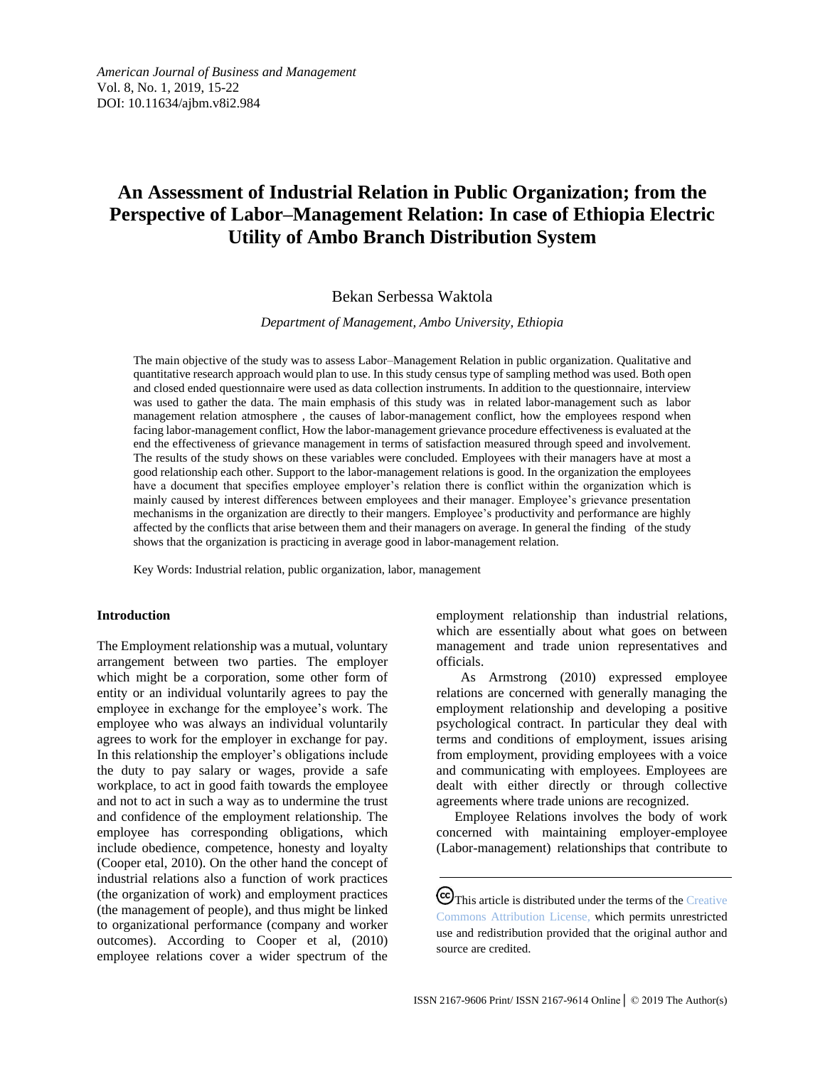# **An Assessment of Industrial Relation in Public Organization; from the Perspective of Labor–Management Relation: In case of Ethiopia Electric Utility of Ambo Branch Distribution System**

## Bekan Serbessa Waktola

*Department of Management, Ambo University, Ethiopia*

The main objective of the study was to assess Labor–Management Relation in public organization. Qualitative and quantitative research approach would plan to use. In this study census type of sampling method was used. Both open and closed ended questionnaire were used as data collection instruments. In addition to the questionnaire, interview was used to gather the data. The main emphasis of this study was in related labor-management such as labor management relation atmosphere , the causes of labor-management conflict, how the employees respond when facing labor-management conflict, How the labor-management grievance procedure effectiveness is evaluated at the end the effectiveness of grievance management in terms of satisfaction measured through speed and involvement. The results of the study shows on these variables were concluded. Employees with their managers have at most a good relationship each other. Support to the labor-management relations is good. In the organization the employees have a document that specifies employee employer's relation there is conflict within the organization which is mainly caused by interest differences between employees and their manager. Employee's grievance presentation mechanisms in the organization are directly to their mangers. Employee's productivity and performance are highly affected by the conflicts that arise between them and their managers on average. In general the finding of the study shows that the organization is practicing in average good in labor-management relation.

Key Words: Industrial relation, public organization, labor, management

#### **Introduction**

The Employment relationship was a mutual, voluntary arrangement between two parties. The employer which might be a corporation, some other form of entity or an individual voluntarily agrees to pay the employee in exchange for the employee's work. The employee who was always an individual voluntarily agrees to work for the employer in exchange for pay. In this relationship the employer's obligations include the duty to pay salary or wages, provide a safe workplace, to act in good faith towards the employee and not to act in such a way as to undermine the trust and confidence of the employment relationship. The employee has corresponding obligations, which include obedience, competence, honesty and loyalty (Cooper etal, 2010). On the other hand the concept of industrial relations also a function of work practices (the organization of work) and employment practices (the management of people), and thus might be linked to organizational performance (company and worker outcomes). According to Cooper et al, (2010) employee relations cover a wider spectrum of the

employment relationship than industrial relations, which are essentially about what goes on between management and trade union representatives and officials.

As Armstrong (2010) expressed employee relations are concerned with generally managing the employment relationship and developing a positive psychological contract. In particular they deal with terms and conditions of employment, issues arising from employment, providing employees with a voice and communicating with employees. Employees are dealt with either directly or through collective agreements where trade unions are recognized.

Employee Relations involves the body of work concerned with maintaining employer-employee (Labor-management) relationships that contribute to

CC This article is distributed under the terms of the Creative [Commons Attribution License,](http://creativecommons.org/licenses/by/3.0/) which permits unrestricted use and redistribution provided that the original author and source are credited.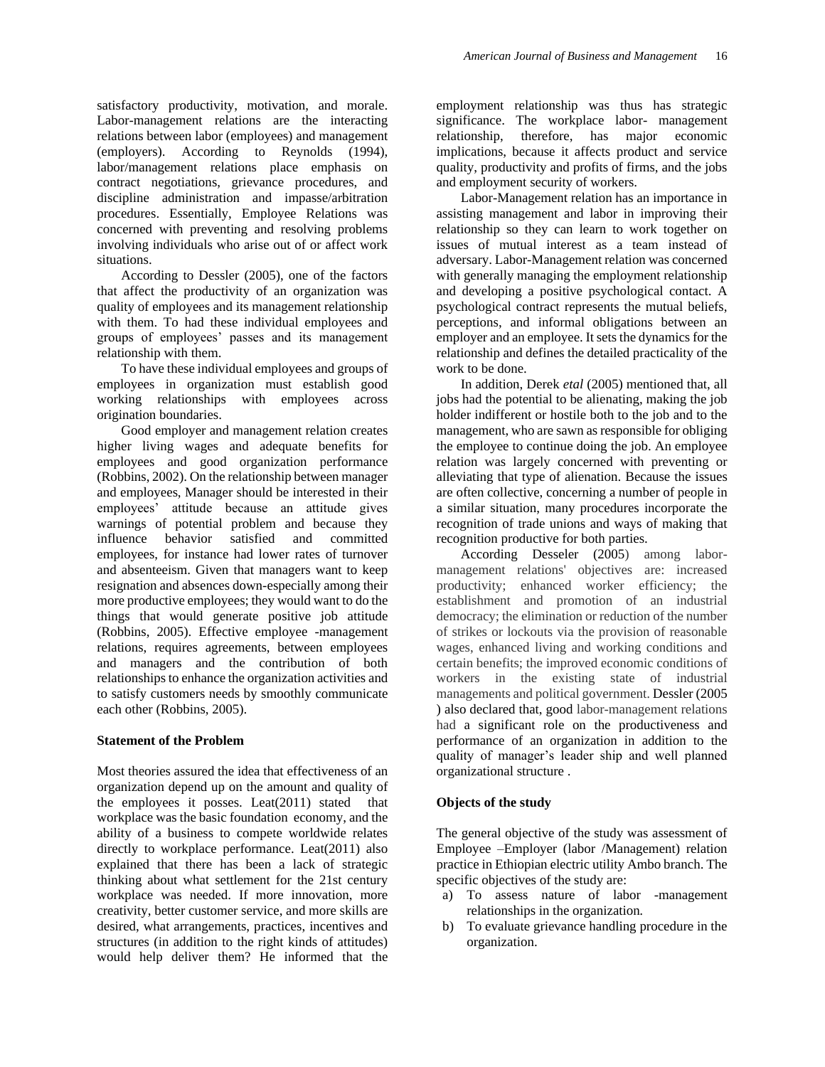satisfactory productivity, motivation, and morale. Labor-management relations are the interacting relations between labor (employees) and management (employers). According to Reynolds (1994), labor/management relations place emphasis on contract negotiations, grievance procedures, and discipline administration and impasse/arbitration procedures. Essentially, Employee Relations was concerned with preventing and resolving problems involving individuals who arise out of or affect work situations.

According to Dessler (2005), one of the factors that affect the productivity of an organization was quality of employees and its management relationship with them. To had these individual employees and groups of employees' passes and its management relationship with them.

To have these individual employees and groups of employees in organization must establish good working relationships with employees across origination boundaries.

Good employer and management relation creates higher living wages and adequate benefits for employees and good organization performance (Robbins, 2002). On the relationship between manager and employees, Manager should be interested in their employees' attitude because an attitude gives warnings of potential problem and because they influence behavior satisfied and committed employees, for instance had lower rates of turnover and absenteeism. Given that managers want to keep resignation and absences down-especially among their more productive employees; they would want to do the things that would generate positive job attitude (Robbins, 2005). Effective employee -management relations, requires agreements, between employees and managers and the contribution of both relationships to enhance the organization activities and to satisfy customers needs by smoothly communicate each other (Robbins, 2005).

#### **Statement of the Problem**

Most theories assured the idea that effectiveness of an organization depend up on the amount and quality of the employees it posses. Leat(2011) stated that workplace was the basic foundation economy, and the ability of a business to compete worldwide relates directly to workplace performance. Leat(2011) also explained that there has been a lack of strategic thinking about what settlement for the 21st century workplace was needed. If more innovation, more creativity, better customer service, and more skills are desired, what arrangements, practices, incentives and structures (in addition to the right kinds of attitudes) would help deliver them? He informed that the

employment relationship was thus has strategic significance. The workplace labor- management relationship, therefore, has major economic implications, because it affects product and service quality, productivity and profits of firms, and the jobs and employment security of workers.

Labor-Management relation has an importance in assisting management and labor in improving their relationship so they can learn to work together on issues of mutual interest as a team instead of adversary. Labor-Management relation was concerned with generally managing the employment relationship and developing a positive psychological contact. A psychological contract represents the mutual beliefs, perceptions, and informal obligations between an employer and an employee. It sets the dynamics for the relationship and defines the detailed practicality of the work to be done.

In addition, Derek *etal* (2005) mentioned that, all jobs had the potential to be alienating, making the job holder indifferent or hostile both to the job and to the management, who are sawn as responsible for obliging the employee to continue doing the job. An employee relation was largely concerned with preventing or alleviating that type of alienation. Because the issues are often collective, concerning a number of people in a similar situation, many procedures incorporate the recognition of trade unions and ways of making that recognition productive for both parties.

According Desseler (2005) among labormanagement relations' objectives are: increased productivity; enhanced worker efficiency; the establishment and promotion of an industrial democracy; the elimination or reduction of the number of strikes or lockouts via the provision of reasonable wages, enhanced living and working conditions and certain benefits; the improved economic conditions of workers in the existing state of industrial managements and political government. Dessler (2005 ) also declared that, good labor-management relations had a significant role on the productiveness and performance of an organization in addition to the quality of manager's leader ship and well planned organizational structure .

#### **Objects of the study**

The general objective of the study was assessment of Employee –Employer (labor /Management) relation practice in Ethiopian electric utility Ambo branch. The specific objectives of the study are:

- a) To assess nature of labor -management relationships in the organization*.*
- b) To evaluate grievance handling procedure in the organization.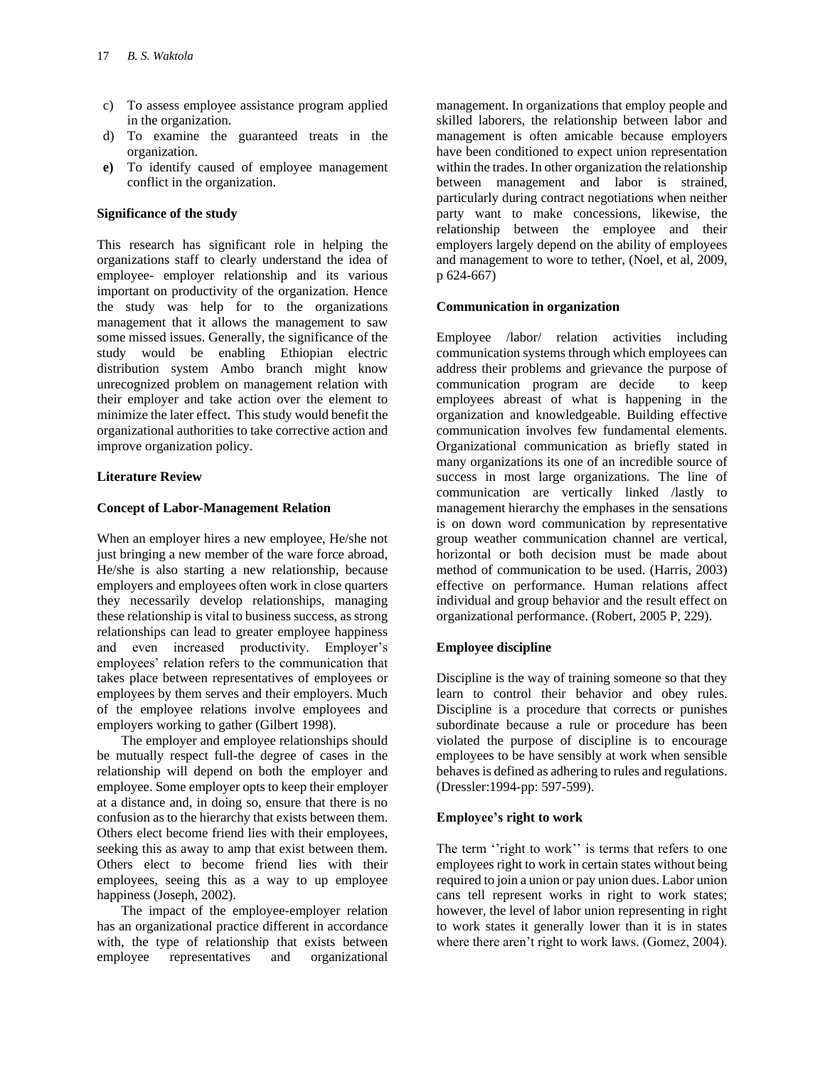- c) To assess employee assistance program applied in the organization.
- d) To examine the guaranteed treats in the organization.
- **e)** To identify caused of employee management conflict in the organization.

## **Significance of the study**

This research has significant role in helping the organizations staff to clearly understand the idea of employee- employer relationship and its various important on productivity of the organization. Hence the study was help for to the organizations management that it allows the management to saw some missed issues. Generally, the significance of the study would be enabling Ethiopian electric distribution system Ambo branch might know unrecognized problem on management relation with their employer and take action over the element to minimize the later effect. This study would benefit the organizational authorities to take corrective action and improve organization policy.

## **Literature Review**

#### **Concept of Labor-Management Relation**

When an employer hires a new employee, He/she not just bringing a new member of the ware force abroad, He/she is also starting a new relationship, because employers and employees often work in close quarters they necessarily develop relationships, managing these relationship is vital to business success, as strong relationships can lead to greater employee happiness and even increased productivity. Employer's employees' relation refers to the communication that takes place between representatives of employees or employees by them serves and their employers. Much of the employee relations involve employees and employers working to gather (Gilbert 1998).

The employer and employee relationships should be mutually respect full-the degree of cases in the relationship will depend on both the employer and employee. Some employer opts to keep their employer at a distance and, in doing so, ensure that there is no confusion as to the hierarchy that exists between them. Others elect become friend lies with their employees, seeking this as away to amp that exist between them. Others elect to become friend lies with their employees, seeing this as a way to up employee happiness (Joseph, 2002).

The impact of the employee-employer relation has an organizational practice different in accordance with, the type of relationship that exists between employee representatives and organizational

management. In organizations that employ people and skilled laborers, the relationship between labor and management is often amicable because employers have been conditioned to expect union representation within the trades. In other organization the relationship between management and labor is strained, particularly during contract negotiations when neither party want to make concessions, likewise, the relationship between the employee and their employers largely depend on the ability of employees and management to wore to tether, (Noel, et al, 2009, p 624-667)

#### **Communication in organization**

Employee /labor/ relation activities including communication systems through which employees can address their problems and grievance the purpose of communication program are decide to keep employees abreast of what is happening in the organization and knowledgeable. Building effective communication involves few fundamental elements. Organizational communication as briefly stated in many organizations its one of an incredible source of success in most large organizations. The line of communication are vertically linked /lastly to management hierarchy the emphases in the sensations is on down word communication by representative group weather communication channel are vertical, horizontal or both decision must be made about method of communication to be used. (Harris, 2003) effective on performance. Human relations affect individual and group behavior and the result effect on organizational performance. (Robert, 2005 P, 229).

## **Employee discipline**

Discipline is the way of training someone so that they learn to control their behavior and obey rules. Discipline is a procedure that corrects or punishes subordinate because a rule or procedure has been violated the purpose of discipline is to encourage employees to be have sensibly at work when sensible behaves is defined as adhering to rules and regulations. (Dressler:1994-pp: 597-599).

#### **Employee's right to work**

The term "right to work" is terms that refers to one employees right to work in certain states without being required to join a union or pay union dues. Labor union cans tell represent works in right to work states; however, the level of labor union representing in right to work states it generally lower than it is in states where there aren't right to work laws. (Gomez, 2004).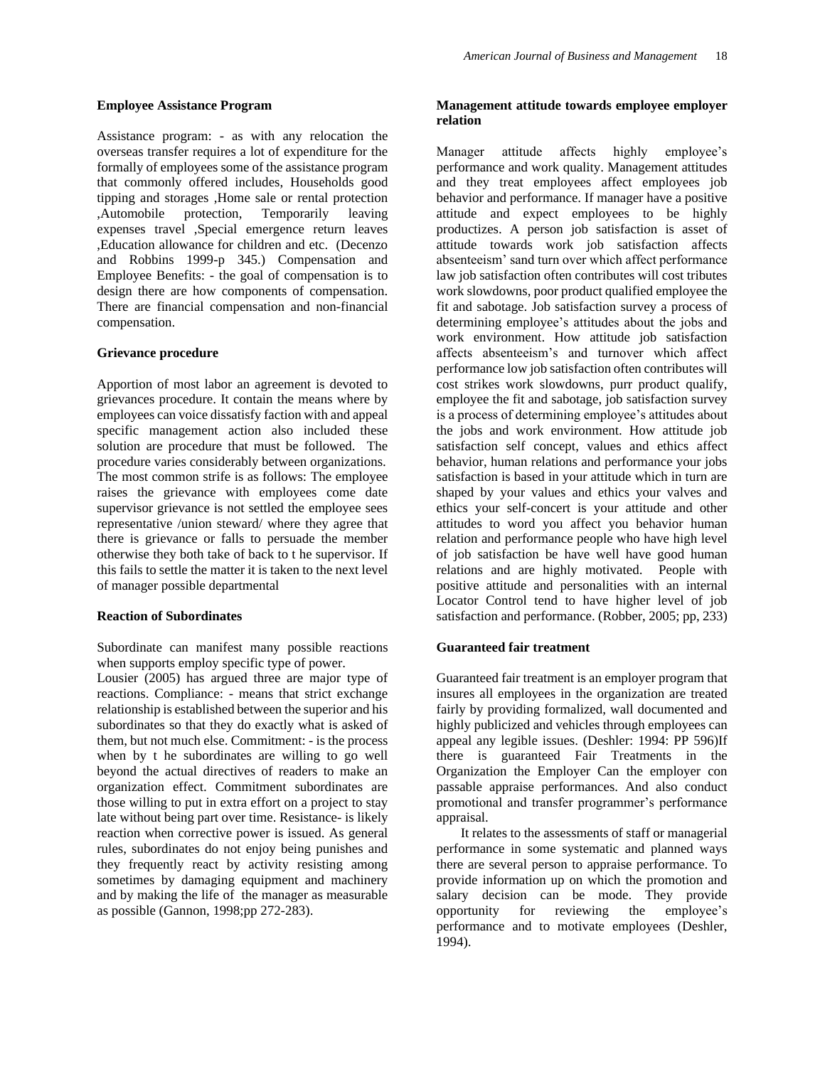#### **Employee Assistance Program**

Assistance program: - as with any relocation the overseas transfer requires a lot of expenditure for the formally of employees some of the assistance program that commonly offered includes, Households good tipping and storages ,Home sale or rental protection ,Automobile protection, Temporarily leaving expenses travel ,Special emergence return leaves ,Education allowance for children and etc. (Decenzo and Robbins 1999-p 345.) Compensation and Employee Benefits: - the goal of compensation is to design there are how components of compensation. There are financial compensation and non-financial compensation.

#### **Grievance procedure**

Apportion of most labor an agreement is devoted to grievances procedure. It contain the means where by employees can voice dissatisfy faction with and appeal specific management action also included these solution are procedure that must be followed. The procedure varies considerably between organizations. The most common strife is as follows: The employee raises the grievance with employees come date supervisor grievance is not settled the employee sees representative /union steward/ where they agree that there is grievance or falls to persuade the member otherwise they both take of back to t he supervisor. If this fails to settle the matter it is taken to the next level of manager possible departmental

#### **Reaction of Subordinates**

Subordinate can manifest many possible reactions when supports employ specific type of power.

Lousier (2005) has argued three are major type of reactions. Compliance: - means that strict exchange relationship is established between the superior and his subordinates so that they do exactly what is asked of them, but not much else. Commitment: - is the process when by t he subordinates are willing to go well beyond the actual directives of readers to make an organization effect. Commitment subordinates are those willing to put in extra effort on a project to stay late without being part over time. Resistance- is likely reaction when corrective power is issued. As general rules, subordinates do not enjoy being punishes and they frequently react by activity resisting among sometimes by damaging equipment and machinery and by making the life of the manager as measurable as possible (Gannon, 1998;pp 272-283).

## **Management attitude towards employee employer relation**

Manager attitude affects highly employee's performance and work quality. Management attitudes and they treat employees affect employees job behavior and performance. If manager have a positive attitude and expect employees to be highly productizes. A person job satisfaction is asset of attitude towards work job satisfaction affects absenteeism' sand turn over which affect performance law job satisfaction often contributes will cost tributes work slowdowns, poor product qualified employee the fit and sabotage. Job satisfaction survey a process of determining employee's attitudes about the jobs and work environment. How attitude job satisfaction affects absenteeism's and turnover which affect performance low job satisfaction often contributes will cost strikes work slowdowns, purr product qualify, employee the fit and sabotage, job satisfaction survey is a process of determining employee's attitudes about the jobs and work environment. How attitude job satisfaction self concept, values and ethics affect behavior, human relations and performance your jobs satisfaction is based in your attitude which in turn are shaped by your values and ethics your valves and ethics your self-concert is your attitude and other attitudes to word you affect you behavior human relation and performance people who have high level of job satisfaction be have well have good human relations and are highly motivated. People with positive attitude and personalities with an internal Locator Control tend to have higher level of job satisfaction and performance. (Robber, 2005; pp, 233)

#### **Guaranteed fair treatment**

Guaranteed fair treatment is an employer program that insures all employees in the organization are treated fairly by providing formalized, wall documented and highly publicized and vehicles through employees can appeal any legible issues. (Deshler: 1994: PP 596)If there is guaranteed Fair Treatments in the Organization the Employer Can the employer con passable appraise performances. And also conduct promotional and transfer programmer's performance appraisal.

It relates to the assessments of staff or managerial performance in some systematic and planned ways there are several person to appraise performance. To provide information up on which the promotion and salary decision can be mode. They provide opportunity for reviewing the employee's performance and to motivate employees (Deshler, 1994).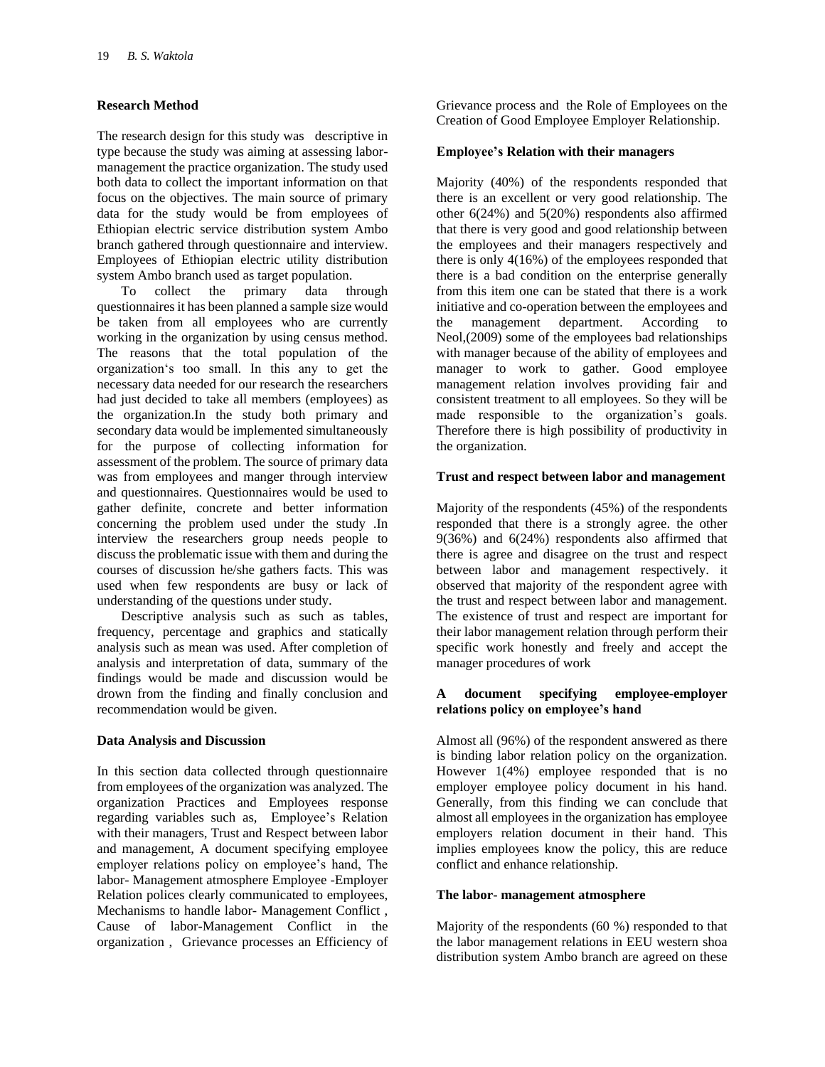## **Research Method**

The research design for this study was descriptive in type because the study was aiming at assessing labormanagement the practice organization. The study used both data to collect the important information on that focus on the objectives. The main source of primary data for the study would be from employees of Ethiopian electric service distribution system Ambo branch gathered through questionnaire and interview. Employees of Ethiopian electric utility distribution system Ambo branch used as target population.

To collect the primary data through questionnaires it has been planned a sample size would be taken from all employees who are currently working in the organization by using census method. The reasons that the total population of the organization's too small. In this any to get the necessary data needed for our research the researchers had just decided to take all members (employees) as the organization.In the study both primary and secondary data would be implemented simultaneously for the purpose of collecting information for assessment of the problem. The source of primary data was from employees and manger through interview and questionnaires. Questionnaires would be used to gather definite, concrete and better information concerning the problem used under the study .In interview the researchers group needs people to discuss the problematic issue with them and during the courses of discussion he/she gathers facts. This was used when few respondents are busy or lack of understanding of the questions under study.

Descriptive analysis such as such as tables, frequency, percentage and graphics and statically analysis such as mean was used. After completion of analysis and interpretation of data, summary of the findings would be made and discussion would be drown from the finding and finally conclusion and recommendation would be given.

## **Data Analysis and Discussion**

In this section data collected through questionnaire from employees of the organization was analyzed. The organization Practices and Employees response regarding variables such as, Employee's Relation with their managers, Trust and Respect between labor and management, A document specifying employee employer relations policy on employee's hand, The labor- Management atmosphere Employee -Employer Relation polices clearly communicated to employees, Mechanisms to handle labor- Management Conflict , Cause of labor-Management Conflict in the organization , Grievance processes an Efficiency of Grievance process and the Role of Employees on the Creation of Good Employee Employer Relationship.

## **Employee's Relation with their managers**

Majority (40%) of the respondents responded that there is an excellent or very good relationship. The other 6(24%) and 5(20%) respondents also affirmed that there is very good and good relationship between the employees and their managers respectively and there is only 4(16%) of the employees responded that there is a bad condition on the enterprise generally from this item one can be stated that there is a work initiative and co-operation between the employees and<br>the management department. According to the management department. According to Neol,(2009) some of the employees bad relationships with manager because of the ability of employees and manager to work to gather. Good employee management relation involves providing fair and consistent treatment to all employees. So they will be made responsible to the organization's goals. Therefore there is high possibility of productivity in the organization.

#### **Trust and respect between labor and management**

Majority of the respondents (45%) of the respondents responded that there is a strongly agree. the other 9(36%) and 6(24%) respondents also affirmed that there is agree and disagree on the trust and respect between labor and management respectively. it observed that majority of the respondent agree with the trust and respect between labor and management. The existence of trust and respect are important for their labor management relation through perform their specific work honestly and freely and accept the manager procedures of work

#### **A document specifying employee-employer relations policy on employee's hand**

Almost all (96%) of the respondent answered as there is binding labor relation policy on the organization. However 1(4%) employee responded that is no employer employee policy document in his hand. Generally, from this finding we can conclude that almost all employees in the organization has employee employers relation document in their hand. This implies employees know the policy, this are reduce conflict and enhance relationship.

## **The labor- management atmosphere**

Majority of the respondents (60 %) responded to that the labor management relations in EEU western shoa distribution system Ambo branch are agreed on these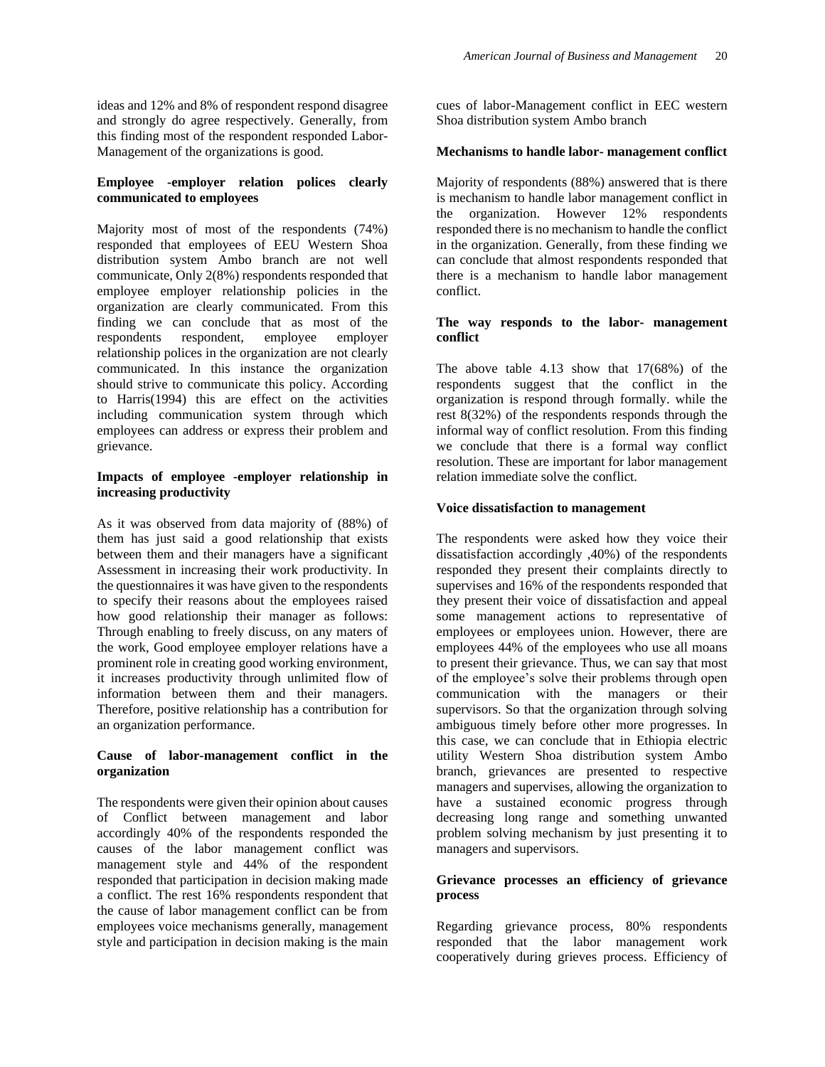ideas and 12% and 8% of respondent respond disagree and strongly do agree respectively. Generally, from this finding most of the respondent responded Labor-Management of the organizations is good.

## **Employee -employer relation polices clearly communicated to employees**

Majority most of most of the respondents (74%) responded that employees of EEU Western Shoa distribution system Ambo branch are not well communicate, Only 2(8%) respondents responded that employee employer relationship policies in the organization are clearly communicated. From this finding we can conclude that as most of the respondents respondent, employee employer relationship polices in the organization are not clearly communicated. In this instance the organization should strive to communicate this policy. According to Harris(1994) this are effect on the activities including communication system through which employees can address or express their problem and grievance.

## **Impacts of employee -employer relationship in increasing productivity**

As it was observed from data majority of (88%) of them has just said a good relationship that exists between them and their managers have a significant Assessment in increasing their work productivity. In the questionnaires it was have given to the respondents to specify their reasons about the employees raised how good relationship their manager as follows: Through enabling to freely discuss, on any maters of the work, Good employee employer relations have a prominent role in creating good working environment, it increases productivity through unlimited flow of information between them and their managers. Therefore, positive relationship has a contribution for an organization performance.

## **Cause of labor-management conflict in the organization**

The respondents were given their opinion about causes of Conflict between management and labor accordingly 40% of the respondents responded the causes of the labor management conflict was management style and 44% of the respondent responded that participation in decision making made a conflict. The rest 16% respondents respondent that the cause of labor management conflict can be from employees voice mechanisms generally, management style and participation in decision making is the main

cues of labor-Management conflict in EEC western Shoa distribution system Ambo branch

## **Mechanisms to handle labor- management conflict**

Majority of respondents (88%) answered that is there is mechanism to handle labor management conflict in the organization. However 12% respondents responded there is no mechanism to handle the conflict in the organization. Generally, from these finding we can conclude that almost respondents responded that there is a mechanism to handle labor management conflict.

#### **The way responds to the labor- management conflict**

The above table 4.13 show that 17(68%) of the respondents suggest that the conflict in the organization is respond through formally. while the rest 8(32%) of the respondents responds through the informal way of conflict resolution. From this finding we conclude that there is a formal way conflict resolution. These are important for labor management relation immediate solve the conflict.

#### **Voice dissatisfaction to management**

The respondents were asked how they voice their dissatisfaction accordingly ,40%) of the respondents responded they present their complaints directly to supervises and 16% of the respondents responded that they present their voice of dissatisfaction and appeal some management actions to representative of employees or employees union. However, there are employees 44% of the employees who use all moans to present their grievance. Thus, we can say that most of the employee's solve their problems through open communication with the managers or their supervisors. So that the organization through solving ambiguous timely before other more progresses. In this case, we can conclude that in Ethiopia electric utility Western Shoa distribution system Ambo branch, grievances are presented to respective managers and supervises, allowing the organization to have a sustained economic progress through decreasing long range and something unwanted problem solving mechanism by just presenting it to managers and supervisors.

#### **Grievance processes an efficiency of grievance process**

Regarding grievance process, 80% respondents responded that the labor management work cooperatively during grieves process. Efficiency of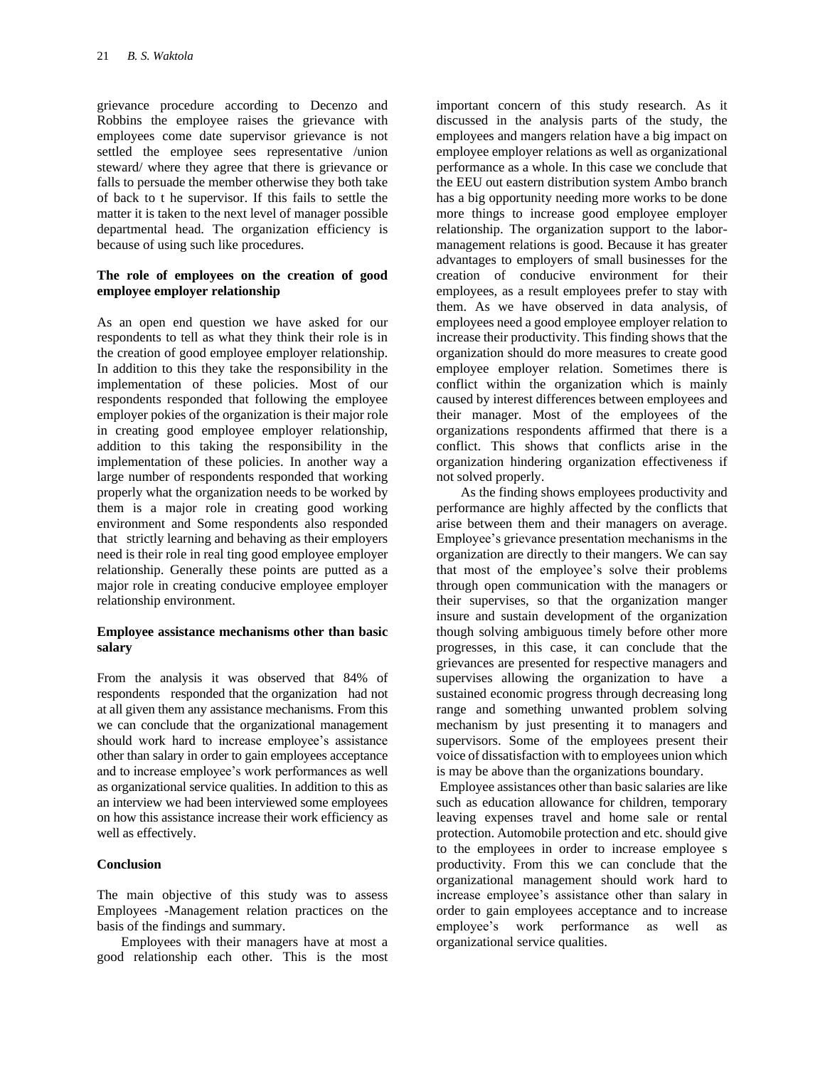grievance procedure according to Decenzo and Robbins the employee raises the grievance with employees come date supervisor grievance is not settled the employee sees representative /union steward/ where they agree that there is grievance or falls to persuade the member otherwise they both take of back to t he supervisor. If this fails to settle the matter it is taken to the next level of manager possible departmental head. The organization efficiency is because of using such like procedures.

#### **The role of employees on the creation of good employee employer relationship**

As an open end question we have asked for our respondents to tell as what they think their role is in the creation of good employee employer relationship. In addition to this they take the responsibility in the implementation of these policies. Most of our respondents responded that following the employee employer pokies of the organization is their major role in creating good employee employer relationship, addition to this taking the responsibility in the implementation of these policies. In another way a large number of respondents responded that working properly what the organization needs to be worked by them is a major role in creating good working environment and Some respondents also responded that strictly learning and behaving as their employers need is their role in real ting good employee employer relationship. Generally these points are putted as a major role in creating conducive employee employer relationship environment.

#### **Employee assistance mechanisms other than basic salary**

From the analysis it was observed that 84% of respondents responded that the organization had not at all given them any assistance mechanisms. From this we can conclude that the organizational management should work hard to increase employee's assistance other than salary in order to gain employees acceptance and to increase employee's work performances as well as organizational service qualities. In addition to this as an interview we had been interviewed some employees on how this assistance increase their work efficiency as well as effectively.

#### **Conclusion**

The main objective of this study was to assess Employees -Management relation practices on the basis of the findings and summary.

Employees with their managers have at most a good relationship each other. This is the most

important concern of this study research. As it discussed in the analysis parts of the study, the employees and mangers relation have a big impact on employee employer relations as well as organizational performance as a whole. In this case we conclude that the EEU out eastern distribution system Ambo branch has a big opportunity needing more works to be done more things to increase good employee employer relationship. The organization support to the labormanagement relations is good. Because it has greater advantages to employers of small businesses for the creation of conducive environment for their employees, as a result employees prefer to stay with them. As we have observed in data analysis, of employees need a good employee employer relation to increase their productivity. This finding shows that the organization should do more measures to create good employee employer relation. Sometimes there is conflict within the organization which is mainly caused by interest differences between employees and their manager. Most of the employees of the organizations respondents affirmed that there is a conflict. This shows that conflicts arise in the organization hindering organization effectiveness if not solved properly.

As the finding shows employees productivity and performance are highly affected by the conflicts that arise between them and their managers on average. Employee's grievance presentation mechanisms in the organization are directly to their mangers. We can say that most of the employee's solve their problems through open communication with the managers or their supervises, so that the organization manger insure and sustain development of the organization though solving ambiguous timely before other more progresses, in this case, it can conclude that the grievances are presented for respective managers and supervises allowing the organization to have a sustained economic progress through decreasing long range and something unwanted problem solving mechanism by just presenting it to managers and supervisors. Some of the employees present their voice of dissatisfaction with to employees union which is may be above than the organizations boundary.

Employee assistances other than basic salaries are like such as education allowance for children, temporary leaving expenses travel and home sale or rental protection. Automobile protection and etc. should give to the employees in order to increase employee s productivity. From this we can conclude that the organizational management should work hard to increase employee's assistance other than salary in order to gain employees acceptance and to increase employee's work performance as well as organizational service qualities.